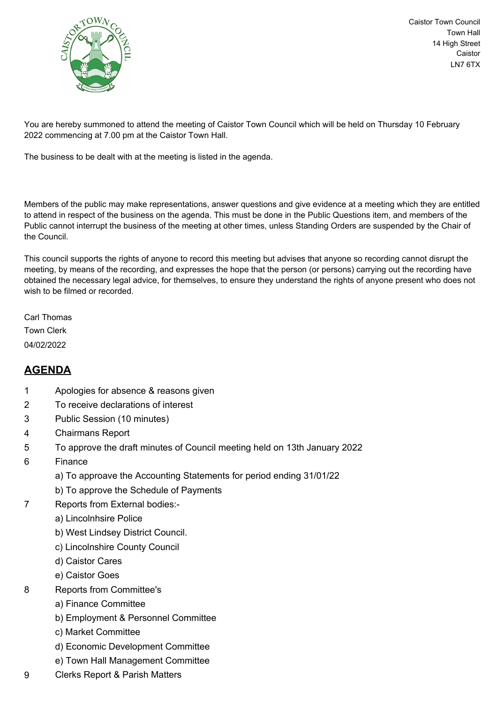

Caistor Town Council Town Hall 14 High Street Caistor LN7 6TX

You are hereby summoned to attend the meeting of Caistor Town Council which will be held on Thursday 10 February 2022 commencing at 7.00 pm at the Caistor Town Hall.

The business to be dealt with at the meeting is listed in the agenda.

Members of the public may make representations, answer questions and give evidence at a meeting which they are entitled to attend in respect of the business on the agenda. This must be done in the Public Questions item, and members of the Public cannot interrupt the business of the meeting at other times, unless Standing Orders are suspended by the Chair of the Council.

This council supports the rights of anyone to record this meeting but advises that anyone so recording cannot disrupt the meeting, by means of the recording, and expresses the hope that the person (or persons) carrying out the recording have obtained the necessary legal advice, for themselves, to ensure they understand the rights of anyone present who does not wish to be filmed or recorded.

Carl Thomas Town Clerk 04/02/2022

## **AGENDA**

- 1 Apologies for absence & reasons given
- 2 To receive declarations of interest
- 3 Public Session (10 minutes)
- 4 Chairmans Report
- 5 To approve the draft minutes of Council meeting held on 13th January 2022
- 6 Finance
	- a) To approave the Accounting Statements for period ending 31/01/22
	- b) To approve the Schedule of Payments
- 7 Reports from External bodies:
	- a) Lincolnhsire Police
	- b) West Lindsey District Council.
	- c) Lincolnshire County Council
	- d) Caistor Cares
	- e) Caistor Goes
- 8 Reports from Committee's
	- a) Finance Committee
	- b) Employment & Personnel Committee
	- c) Market Committee
	- d) Economic Development Committee
	- e) Town Hall Management Committee
- 9 Clerks Report & Parish Matters